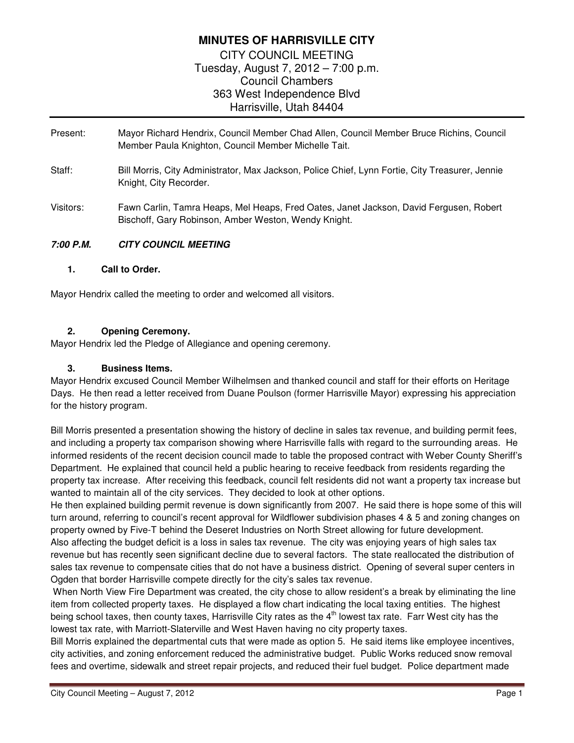# **MINUTES OF HARRISVILLE CITY**

CITY COUNCIL MEETING Tuesday, August 7, 2012 – 7:00 p.m. Council Chambers 363 West Independence Blvd Harrisville, Utah 84404

- Present:Mayor Richard Hendrix, Council Member Chad Allen, Council Member Bruce Richins, Council Member Paula Knighton, Council Member Michelle Tait.
- Staff: Bill Morris, City Administrator, Max Jackson, Police Chief, Lynn Fortie, City Treasurer, Jennie Knight, City Recorder.
- Visitors: Fawn Carlin, Tamra Heaps, Mel Heaps, Fred Oates, Janet Jackson, David Fergusen, Robert Bischoff, Gary Robinson, Amber Weston, Wendy Knight.

# **7:00 P.M. CITY COUNCIL MEETING**

## **1. Call to Order.**

Mayor Hendrix called the meeting to order and welcomed all visitors.

# **2. Opening Ceremony.**

Mayor Hendrix led the Pledge of Allegiance and opening ceremony.

## **3. Business Items.**

Mayor Hendrix excused Council Member Wilhelmsen and thanked council and staff for their efforts on Heritage Days. He then read a letter received from Duane Poulson (former Harrisville Mayor) expressing his appreciation for the history program.

Bill Morris presented a presentation showing the history of decline in sales tax revenue, and building permit fees, and including a property tax comparison showing where Harrisville falls with regard to the surrounding areas. He informed residents of the recent decision council made to table the proposed contract with Weber County Sheriff's Department. He explained that council held a public hearing to receive feedback from residents regarding the property tax increase. After receiving this feedback, council felt residents did not want a property tax increase but wanted to maintain all of the city services. They decided to look at other options.

He then explained building permit revenue is down significantly from 2007. He said there is hope some of this will turn around, referring to council's recent approval for Wildflower subdivision phases 4 & 5 and zoning changes on property owned by Five-T behind the Deseret Industries on North Street allowing for future development. Also affecting the budget deficit is a loss in sales tax revenue. The city was enjoying years of high sales tax revenue but has recently seen significant decline due to several factors. The state reallocated the distribution of sales tax revenue to compensate cities that do not have a business district. Opening of several super centers in Ogden that border Harrisville compete directly for the city's sales tax revenue.

 When North View Fire Department was created, the city chose to allow resident's a break by eliminating the line item from collected property taxes. He displayed a flow chart indicating the local taxing entities. The highest being school taxes, then county taxes, Harrisville City rates as the  $4<sup>th</sup>$  lowest tax rate. Farr West city has the lowest tax rate, with Marriott-Slaterville and West Haven having no city property taxes.

Bill Morris explained the departmental cuts that were made as option 5. He said items like employee incentives, city activities, and zoning enforcement reduced the administrative budget. Public Works reduced snow removal fees and overtime, sidewalk and street repair projects, and reduced their fuel budget. Police department made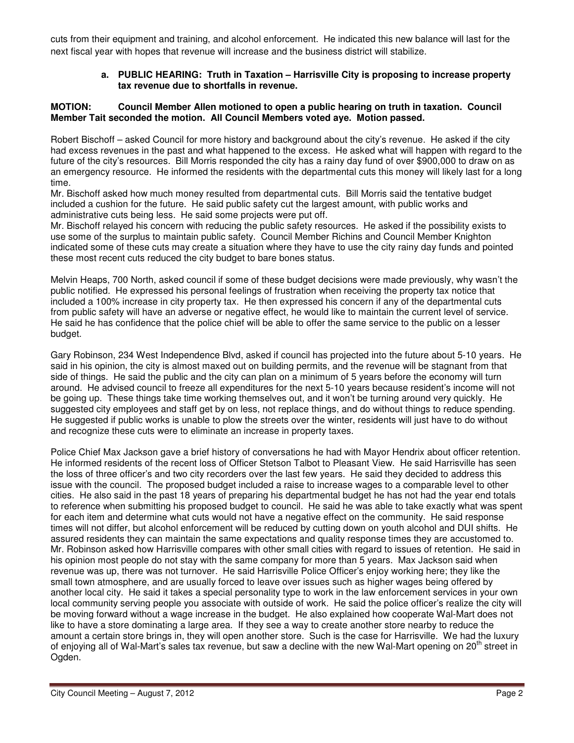cuts from their equipment and training, and alcohol enforcement. He indicated this new balance will last for the next fiscal year with hopes that revenue will increase and the business district will stabilize.

### **a. PUBLIC HEARING: Truth in Taxation – Harrisville City is proposing to increase property tax revenue due to shortfalls in revenue.**

#### **MOTION: Council Member Allen motioned to open a public hearing on truth in taxation. Council Member Tait seconded the motion. All Council Members voted aye. Motion passed.**

Robert Bischoff – asked Council for more history and background about the city's revenue. He asked if the city had excess revenues in the past and what happened to the excess. He asked what will happen with regard to the future of the city's resources. Bill Morris responded the city has a rainy day fund of over \$900,000 to draw on as an emergency resource. He informed the residents with the departmental cuts this money will likely last for a long time.

Mr. Bischoff asked how much money resulted from departmental cuts. Bill Morris said the tentative budget included a cushion for the future. He said public safety cut the largest amount, with public works and administrative cuts being less. He said some projects were put off.

Mr. Bischoff relayed his concern with reducing the public safety resources. He asked if the possibility exists to use some of the surplus to maintain public safety. Council Member Richins and Council Member Knighton indicated some of these cuts may create a situation where they have to use the city rainy day funds and pointed these most recent cuts reduced the city budget to bare bones status.

Melvin Heaps, 700 North, asked council if some of these budget decisions were made previously, why wasn't the public notified. He expressed his personal feelings of frustration when receiving the property tax notice that included a 100% increase in city property tax. He then expressed his concern if any of the departmental cuts from public safety will have an adverse or negative effect, he would like to maintain the current level of service. He said he has confidence that the police chief will be able to offer the same service to the public on a lesser budget.

Gary Robinson, 234 West Independence Blvd, asked if council has projected into the future about 5-10 years. He said in his opinion, the city is almost maxed out on building permits, and the revenue will be stagnant from that side of things. He said the public and the city can plan on a minimum of 5 years before the economy will turn around. He advised council to freeze all expenditures for the next 5-10 years because resident's income will not be going up. These things take time working themselves out, and it won't be turning around very quickly. He suggested city employees and staff get by on less, not replace things, and do without things to reduce spending. He suggested if public works is unable to plow the streets over the winter, residents will just have to do without and recognize these cuts were to eliminate an increase in property taxes.

Police Chief Max Jackson gave a brief history of conversations he had with Mayor Hendrix about officer retention. He informed residents of the recent loss of Officer Stetson Talbot to Pleasant View. He said Harrisville has seen the loss of three officer's and two city recorders over the last few years. He said they decided to address this issue with the council. The proposed budget included a raise to increase wages to a comparable level to other cities. He also said in the past 18 years of preparing his departmental budget he has not had the year end totals to reference when submitting his proposed budget to council. He said he was able to take exactly what was spent for each item and determine what cuts would not have a negative effect on the community. He said response times will not differ, but alcohol enforcement will be reduced by cutting down on youth alcohol and DUI shifts. He assured residents they can maintain the same expectations and quality response times they are accustomed to. Mr. Robinson asked how Harrisville compares with other small cities with regard to issues of retention. He said in his opinion most people do not stay with the same company for more than 5 years. Max Jackson said when revenue was up, there was not turnover. He said Harrisville Police Officer's enjoy working here; they like the small town atmosphere, and are usually forced to leave over issues such as higher wages being offered by another local city. He said it takes a special personality type to work in the law enforcement services in your own local community serving people you associate with outside of work. He said the police officer's realize the city will be moving forward without a wage increase in the budget. He also explained how cooperate Wal-Mart does not like to have a store dominating a large area. If they see a way to create another store nearby to reduce the amount a certain store brings in, they will open another store. Such is the case for Harrisville. We had the luxury of enjoying all of Wal-Mart's sales tax revenue, but saw a decline with the new Wal-Mart opening on 20<sup>th</sup> street in Ogden.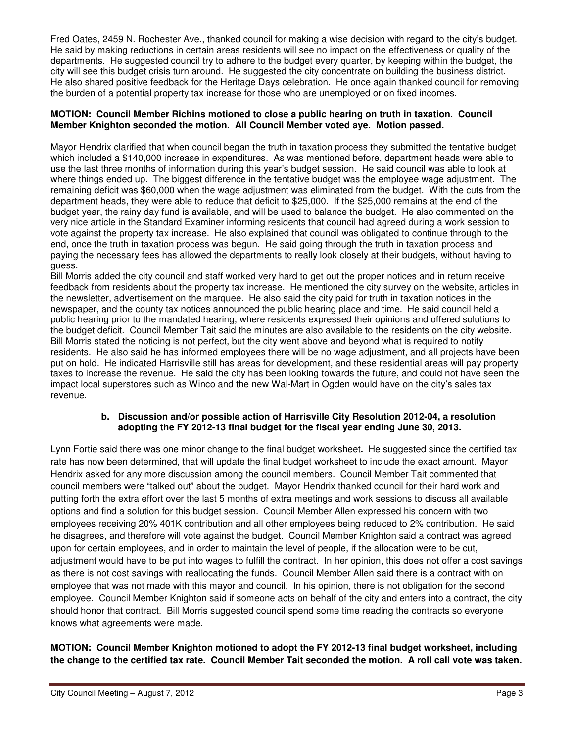Fred Oates, 2459 N. Rochester Ave., thanked council for making a wise decision with regard to the city's budget. He said by making reductions in certain areas residents will see no impact on the effectiveness or quality of the departments. He suggested council try to adhere to the budget every quarter, by keeping within the budget, the city will see this budget crisis turn around. He suggested the city concentrate on building the business district. He also shared positive feedback for the Heritage Days celebration. He once again thanked council for removing the burden of a potential property tax increase for those who are unemployed or on fixed incomes.

#### **MOTION: Council Member Richins motioned to close a public hearing on truth in taxation. Council Member Knighton seconded the motion. All Council Member voted aye. Motion passed.**

Mayor Hendrix clarified that when council began the truth in taxation process they submitted the tentative budget which included a \$140,000 increase in expenditures. As was mentioned before, department heads were able to use the last three months of information during this year's budget session. He said council was able to look at where things ended up. The biggest difference in the tentative budget was the employee wage adjustment. The remaining deficit was \$60,000 when the wage adjustment was eliminated from the budget. With the cuts from the department heads, they were able to reduce that deficit to \$25,000. If the \$25,000 remains at the end of the budget year, the rainy day fund is available, and will be used to balance the budget. He also commented on the very nice article in the Standard Examiner informing residents that council had agreed during a work session to vote against the property tax increase. He also explained that council was obligated to continue through to the end, once the truth in taxation process was begun. He said going through the truth in taxation process and paying the necessary fees has allowed the departments to really look closely at their budgets, without having to guess.

Bill Morris added the city council and staff worked very hard to get out the proper notices and in return receive feedback from residents about the property tax increase. He mentioned the city survey on the website, articles in the newsletter, advertisement on the marquee. He also said the city paid for truth in taxation notices in the newspaper, and the county tax notices announced the public hearing place and time. He said council held a public hearing prior to the mandated hearing, where residents expressed their opinions and offered solutions to the budget deficit. Council Member Tait said the minutes are also available to the residents on the city website. Bill Morris stated the noticing is not perfect, but the city went above and beyond what is required to notify residents. He also said he has informed employees there will be no wage adjustment, and all projects have been put on hold. He indicated Harrisville still has areas for development, and these residential areas will pay property taxes to increase the revenue. He said the city has been looking towards the future, and could not have seen the impact local superstores such as Winco and the new Wal-Mart in Ogden would have on the city's sales tax revenue.

#### **b. Discussion and/or possible action of Harrisville City Resolution 2012-04, a resolution adopting the FY 2012-13 final budget for the fiscal year ending June 30, 2013.**

Lynn Fortie said there was one minor change to the final budget worksheet**.** He suggested since the certified tax rate has now been determined, that will update the final budget worksheet to include the exact amount. Mayor Hendrix asked for any more discussion among the council members. Council Member Tait commented that council members were "talked out" about the budget. Mayor Hendrix thanked council for their hard work and putting forth the extra effort over the last 5 months of extra meetings and work sessions to discuss all available options and find a solution for this budget session. Council Member Allen expressed his concern with two employees receiving 20% 401K contribution and all other employees being reduced to 2% contribution. He said he disagrees, and therefore will vote against the budget. Council Member Knighton said a contract was agreed upon for certain employees, and in order to maintain the level of people, if the allocation were to be cut, adjustment would have to be put into wages to fulfill the contract. In her opinion, this does not offer a cost savings as there is not cost savings with reallocating the funds. Council Member Allen said there is a contract with on employee that was not made with this mayor and council. In his opinion, there is not obligation for the second employee. Council Member Knighton said if someone acts on behalf of the city and enters into a contract, the city should honor that contract. Bill Morris suggested council spend some time reading the contracts so everyone knows what agreements were made.

**MOTION: Council Member Knighton motioned to adopt the FY 2012-13 final budget worksheet, including the change to the certified tax rate. Council Member Tait seconded the motion. A roll call vote was taken.**